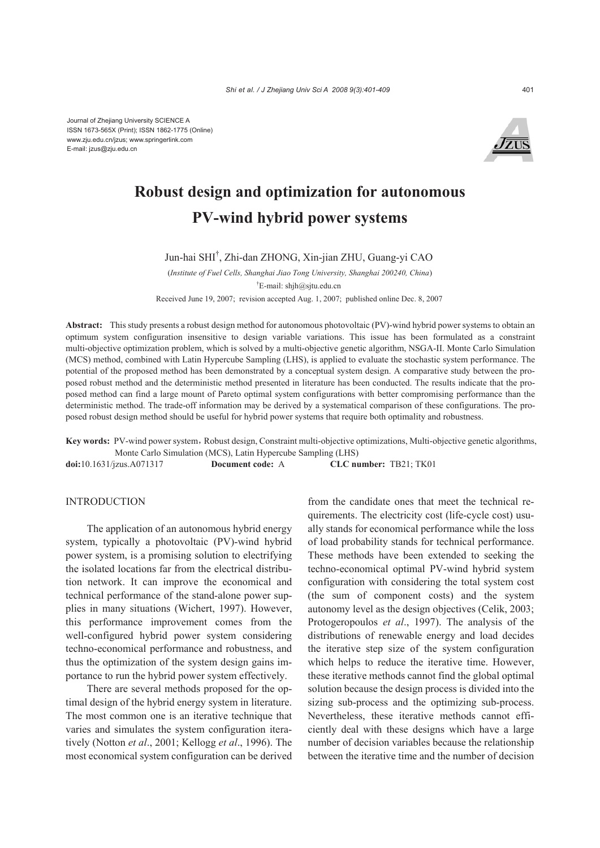

# **Robust design and optimization for autonomous PV-wind hybrid power systems**

Jun-hai SHI† , Zhi-dan ZHONG, Xin-jian ZHU, Guang-yi CAO

(*Institute of Fuel Cells, Shanghai Jiao Tong University, Shanghai 200240, China*) † E-mail: shjh@sjtu.edu.cn Received June 19, 2007; revision accepted Aug. 1, 2007; published online Dec. 8, 2007

**Abstract:** This study presents a robust design method for autonomous photovoltaic (PV)-wind hybrid power systems to obtain an optimum system configuration insensitive to design variable variations. This issue has been formulated as a constraint multi-objective optimization problem, which is solved by a multi-objective genetic algorithm, NSGA-II. Monte Carlo Simulation (MCS) method, combined with Latin Hypercube Sampling (LHS), is applied to evaluate the stochastic system performance. The potential of the proposed method has been demonstrated by a conceptual system design. A comparative study between the proposed robust method and the deterministic method presented in literature has been conducted. The results indicate that the proposed method can find a large mount of Pareto optimal system configurations with better compromising performance than the deterministic method. The trade-off information may be derived by a systematical comparison of these configurations. The proposed robust design method should be useful for hybrid power systems that require both optimality and robustness.

**Key words:** PV-wind power system, Robust design, Constraint multi-objective optimizations, Multi-objective genetic algorithms, Monte Carlo Simulation (MCS), Latin Hypercube Sampling (LHS)

**doi:**10.1631/jzus.A071317 **Document code:** A **CLC number:** TB21; TK01

## INTRODUCTION

The application of an autonomous hybrid energy system, typically a photovoltaic (PV)-wind hybrid power system, is a promising solution to electrifying the isolated locations far from the electrical distribution network. It can improve the economical and technical performance of the stand-alone power supplies in many situations (Wichert, 1997). However, this performance improvement comes from the well-configured hybrid power system considering techno-economical performance and robustness, and thus the optimization of the system design gains importance to run the hybrid power system effectively.

There are several methods proposed for the optimal design of the hybrid energy system in literature. The most common one is an iterative technique that varies and simulates the system configuration iteratively (Notton *et al*., 2001; Kellogg *et al*., 1996). The most economical system configuration can be derived from the candidate ones that meet the technical requirements. The electricity cost (life-cycle cost) usually stands for economical performance while the loss of load probability stands for technical performance. These methods have been extended to seeking the techno-economical optimal PV-wind hybrid system configuration with considering the total system cost (the sum of component costs) and the system autonomy level as the design objectives (Celik, 2003; Protogeropoulos *et al*., 1997). The analysis of the distributions of renewable energy and load decides the iterative step size of the system configuration which helps to reduce the iterative time. However, these iterative methods cannot find the global optimal solution because the design process is divided into the sizing sub-process and the optimizing sub-process. Nevertheless, these iterative methods cannot efficiently deal with these designs which have a large number of decision variables because the relationship between the iterative time and the number of decision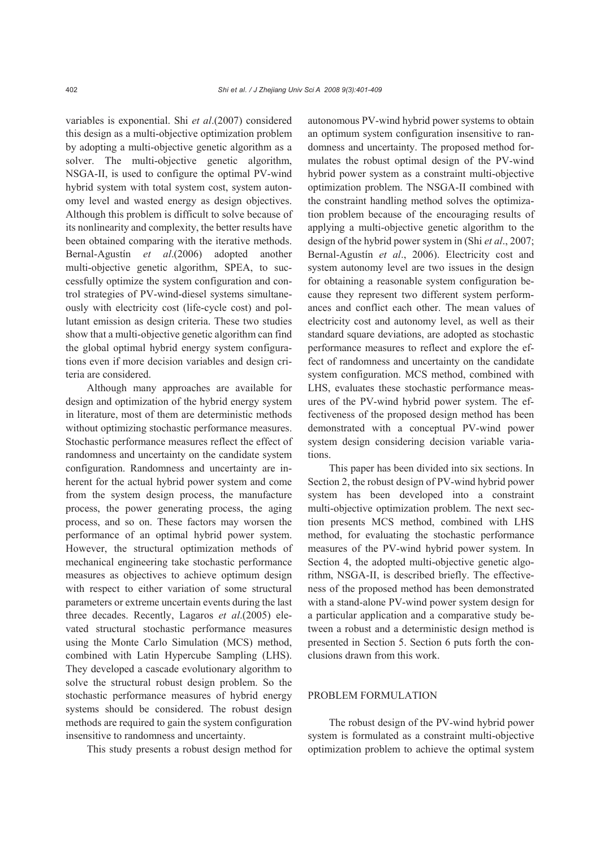variables is exponential. Shi *et al*.(2007) considered this design as a multi-objective optimization problem by adopting a multi-objective genetic algorithm as a solver. The multi-objective genetic algorithm, NSGA-II, is used to configure the optimal PV-wind hybrid system with total system cost, system autonomy level and wasted energy as design objectives. Although this problem is difficult to solve because of its nonlinearity and complexity, the better results have been obtained comparing with the iterative methods. Bernal-Agustín *et al*.(2006) adopted another multi-objective genetic algorithm, SPEA, to successfully optimize the system configuration and control strategies of PV-wind-diesel systems simultaneously with electricity cost (life-cycle cost) and pollutant emission as design criteria. These two studies show that a multi-objective genetic algorithm can find the global optimal hybrid energy system configurations even if more decision variables and design criteria are considered.

Although many approaches are available for design and optimization of the hybrid energy system in literature, most of them are deterministic methods without optimizing stochastic performance measures. Stochastic performance measures reflect the effect of randomness and uncertainty on the candidate system configuration. Randomness and uncertainty are inherent for the actual hybrid power system and come from the system design process, the manufacture process, the power generating process, the aging process, and so on. These factors may worsen the performance of an optimal hybrid power system. However, the structural optimization methods of mechanical engineering take stochastic performance measures as objectives to achieve optimum design with respect to either variation of some structural parameters or extreme uncertain events during the last three decades. Recently, Lagaros *et al*.(2005) elevated structural stochastic performance measures using the Monte Carlo Simulation (MCS) method, combined with Latin Hypercube Sampling (LHS). They developed a cascade evolutionary algorithm to solve the structural robust design problem. So the stochastic performance measures of hybrid energy systems should be considered. The robust design methods are required to gain the system configuration insensitive to randomness and uncertainty.

This study presents a robust design method for

autonomous PV-wind hybrid power systems to obtain an optimum system configuration insensitive to randomness and uncertainty. The proposed method formulates the robust optimal design of the PV-wind hybrid power system as a constraint multi-objective optimization problem. The NSGA-II combined with the constraint handling method solves the optimization problem because of the encouraging results of applying a multi-objective genetic algorithm to the design of the hybrid power system in (Shi *et al*., 2007; Bernal-Agustín *et al*., 2006). Electricity cost and system autonomy level are two issues in the design for obtaining a reasonable system configuration because they represent two different system performances and conflict each other. The mean values of electricity cost and autonomy level, as well as their standard square deviations, are adopted as stochastic performance measures to reflect and explore the effect of randomness and uncertainty on the candidate system configuration. MCS method, combined with LHS, evaluates these stochastic performance measures of the PV-wind hybrid power system. The effectiveness of the proposed design method has been demonstrated with a conceptual PV-wind power system design considering decision variable variations.

This paper has been divided into six sections. In Section 2, the robust design of PV-wind hybrid power system has been developed into a constraint multi-objective optimization problem. The next section presents MCS method, combined with LHS method, for evaluating the stochastic performance measures of the PV-wind hybrid power system. In Section 4, the adopted multi-objective genetic algorithm, NSGA-II, is described briefly. The effectiveness of the proposed method has been demonstrated with a stand-alone PV-wind power system design for a particular application and a comparative study between a robust and a deterministic design method is presented in Section 5. Section 6 puts forth the conclusions drawn from this work.

#### PROBLEM FORMULATION

The robust design of the PV-wind hybrid power system is formulated as a constraint multi-objective optimization problem to achieve the optimal system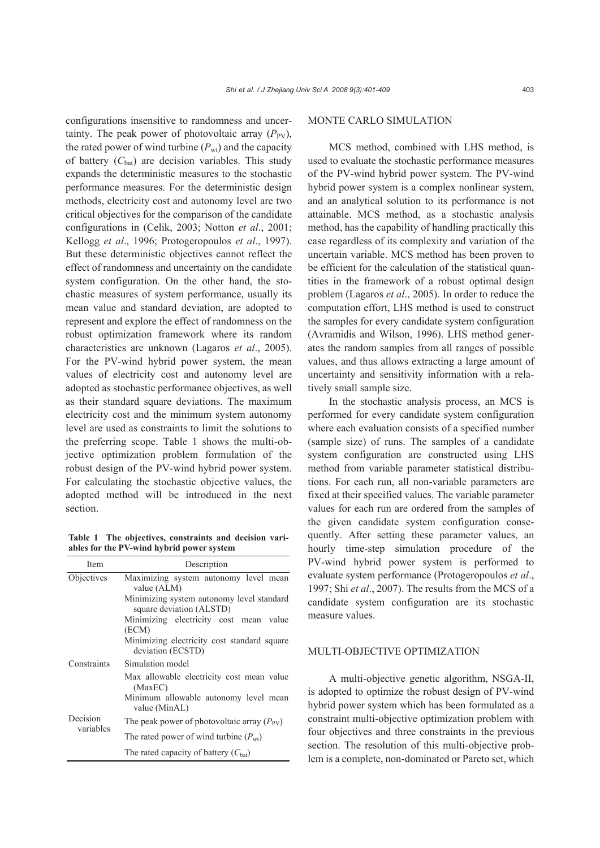configurations insensitive to randomness and uncertainty. The peak power of photovoltaic array  $(P_{PV})$ , the rated power of wind turbine  $(P_{wt})$  and the capacity of battery  $(C_{bat})$  are decision variables. This study expands the deterministic measures to the stochastic performance measures. For the deterministic design methods, electricity cost and autonomy level are two critical objectives for the comparison of the candidate configurations in (Celik, 2003; Notton *et al*., 2001; Kellogg *et al*., 1996; Protogeropoulos *et al*., 1997). But these deterministic objectives cannot reflect the effect of randomness and uncertainty on the candidate system configuration. On the other hand, the stochastic measures of system performance, usually its mean value and standard deviation, are adopted to represent and explore the effect of randomness on the robust optimization framework where its random characteristics are unknown (Lagaros *et al*., 2005). For the PV-wind hybrid power system, the mean values of electricity cost and autonomy level are adopted as stochastic performance objectives, as well as their standard square deviations. The maximum electricity cost and the minimum system autonomy level are used as constraints to limit the solutions to the preferring scope. Table 1 shows the multi-objective optimization problem formulation of the robust design of the PV-wind hybrid power system. For calculating the stochastic objective values, the adopted method will be introduced in the next section.

**Table 1 The objectives, constraints and decision variables for the PV-wind hybrid power system**

| Item                  | Description                                                           |  |  |  |  |  |
|-----------------------|-----------------------------------------------------------------------|--|--|--|--|--|
| Objectives            | Maximizing system autonomy level mean<br>value (ALM)                  |  |  |  |  |  |
|                       | Minimizing system autonomy level standard<br>square deviation (ALSTD) |  |  |  |  |  |
|                       | Minimizing electricity cost mean value<br>(ECM)                       |  |  |  |  |  |
|                       | Minimizing electricity cost standard square<br>deviation (ECSTD)      |  |  |  |  |  |
| Constraints           | Simulation model                                                      |  |  |  |  |  |
|                       | Max allowable electricity cost mean value<br>(MaxEC)                  |  |  |  |  |  |
|                       | Minimum allowable autonomy level mean<br>value (MinAL)                |  |  |  |  |  |
| Decision<br>variables | The peak power of photovoltaic array $(P_{PV})$                       |  |  |  |  |  |
|                       | The rated power of wind turbine $(P_{wt})$                            |  |  |  |  |  |
|                       | The rated capacity of battery $(C_{\text{bat}})$                      |  |  |  |  |  |

#### MONTE CARLO SIMULATION

MCS method, combined with LHS method, is used to evaluate the stochastic performance measures of the PV-wind hybrid power system. The PV-wind hybrid power system is a complex nonlinear system, and an analytical solution to its performance is not attainable. MCS method, as a stochastic analysis method, has the capability of handling practically this case regardless of its complexity and variation of the uncertain variable. MCS method has been proven to be efficient for the calculation of the statistical quantities in the framework of a robust optimal design problem (Lagaros *et al*., 2005). In order to reduce the computation effort, LHS method is used to construct the samples for every candidate system configuration (Avramidis and Wilson, 1996). LHS method generates the random samples from all ranges of possible values, and thus allows extracting a large amount of uncertainty and sensitivity information with a relatively small sample size.

In the stochastic analysis process, an MCS is performed for every candidate system configuration where each evaluation consists of a specified number (sample size) of runs. The samples of a candidate system configuration are constructed using LHS method from variable parameter statistical distributions. For each run, all non-variable parameters are fixed at their specified values. The variable parameter values for each run are ordered from the samples of the given candidate system configuration consequently. After setting these parameter values, an hourly time-step simulation procedure of the PV-wind hybrid power system is performed to evaluate system performance (Protogeropoulos *et al*., 1997; Shi *et al*., 2007). The results from the MCS of a candidate system configuration are its stochastic measure values.

### MULTI-OBJECTIVE OPTIMIZATION

A multi-objective genetic algorithm, NSGA-II, is adopted to optimize the robust design of PV-wind hybrid power system which has been formulated as a constraint multi-objective optimization problem with four objectives and three constraints in the previous section. The resolution of this multi-objective problem is a complete, non-dominated or Pareto set, which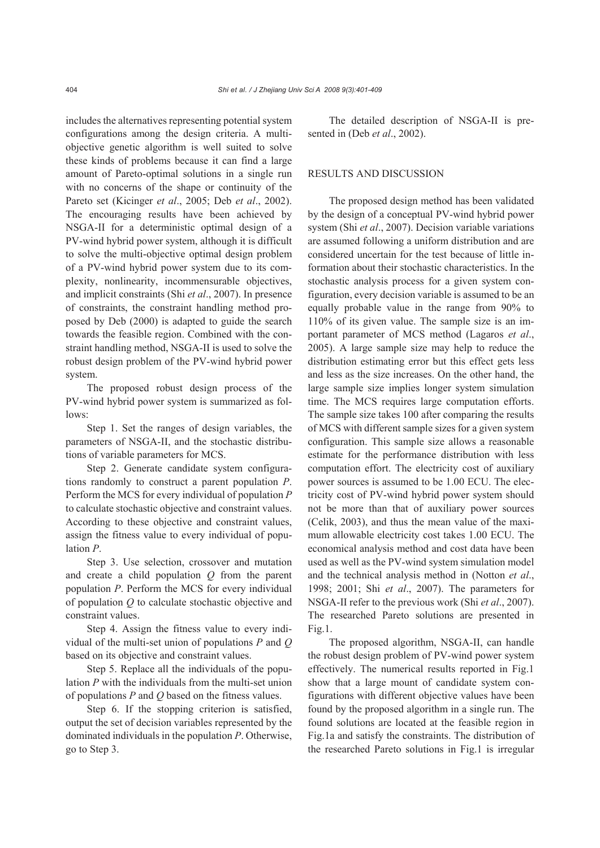includes the alternatives representing potential system configurations among the design criteria. A multiobjective genetic algorithm is well suited to solve these kinds of problems because it can find a large amount of Pareto-optimal solutions in a single run with no concerns of the shape or continuity of the Pareto set (Kicinger *et al*., 2005; Deb *et al*., 2002). The encouraging results have been achieved by NSGA-II for a deterministic optimal design of a PV-wind hybrid power system, although it is difficult to solve the multi-objective optimal design problem of a PV-wind hybrid power system due to its complexity, nonlinearity, incommensurable objectives, and implicit constraints (Shi *et al*., 2007). In presence of constraints, the constraint handling method proposed by Deb (2000) is adapted to guide the search towards the feasible region. Combined with the constraint handling method, NSGA-II is used to solve the robust design problem of the PV-wind hybrid power system.

The proposed robust design process of the PV-wind hybrid power system is summarized as follows:

Step 1. Set the ranges of design variables, the parameters of NSGA-II, and the stochastic distributions of variable parameters for MCS.

Step 2. Generate candidate system configurations randomly to construct a parent population *P*. Perform the MCS for every individual of population *P* to calculate stochastic objective and constraint values. According to these objective and constraint values, assign the fitness value to every individual of population *P*.

Step 3. Use selection, crossover and mutation and create a child population *Q* from the parent population *P*. Perform the MCS for every individual of population *Q* to calculate stochastic objective and constraint values.

Step 4. Assign the fitness value to every individual of the multi-set union of populations *P* and *Q* based on its objective and constraint values.

Step 5. Replace all the individuals of the population *P* with the individuals from the multi-set union of populations *P* and *Q* based on the fitness values.

Step 6. If the stopping criterion is satisfied, output the set of decision variables represented by the dominated individuals in the population *P*. Otherwise, go to Step 3.

The detailed description of NSGA-II is presented in (Deb *et al*., 2002).

#### RESULTS AND DISCUSSION

The proposed design method has been validated by the design of a conceptual PV-wind hybrid power system (Shi *et al*., 2007). Decision variable variations are assumed following a uniform distribution and are considered uncertain for the test because of little information about their stochastic characteristics. In the stochastic analysis process for a given system configuration, every decision variable is assumed to be an equally probable value in the range from 90% to 110% of its given value. The sample size is an important parameter of MCS method (Lagaros *et al*., 2005). A large sample size may help to reduce the distribution estimating error but this effect gets less and less as the size increases. On the other hand, the large sample size implies longer system simulation time. The MCS requires large computation efforts. The sample size takes 100 after comparing the results of MCS with different sample sizes for a given system configuration. This sample size allows a reasonable estimate for the performance distribution with less computation effort. The electricity cost of auxiliary power sources is assumed to be 1.00 ECU. The electricity cost of PV-wind hybrid power system should not be more than that of auxiliary power sources (Celik, 2003), and thus the mean value of the maximum allowable electricity cost takes 1.00 ECU. The economical analysis method and cost data have been used as well as the PV-wind system simulation model and the technical analysis method in (Notton *et al*., 1998; 2001; Shi *et al*., 2007). The parameters for NSGA-II refer to the previous work (Shi *et al*., 2007). The researched Pareto solutions are presented in Fig.1.

The proposed algorithm, NSGA-II, can handle the robust design problem of PV-wind power system effectively. The numerical results reported in Fig.1 show that a large mount of candidate system configurations with different objective values have been found by the proposed algorithm in a single run. The found solutions are located at the feasible region in Fig.1a and satisfy the constraints. The distribution of the researched Pareto solutions in Fig.1 is irregular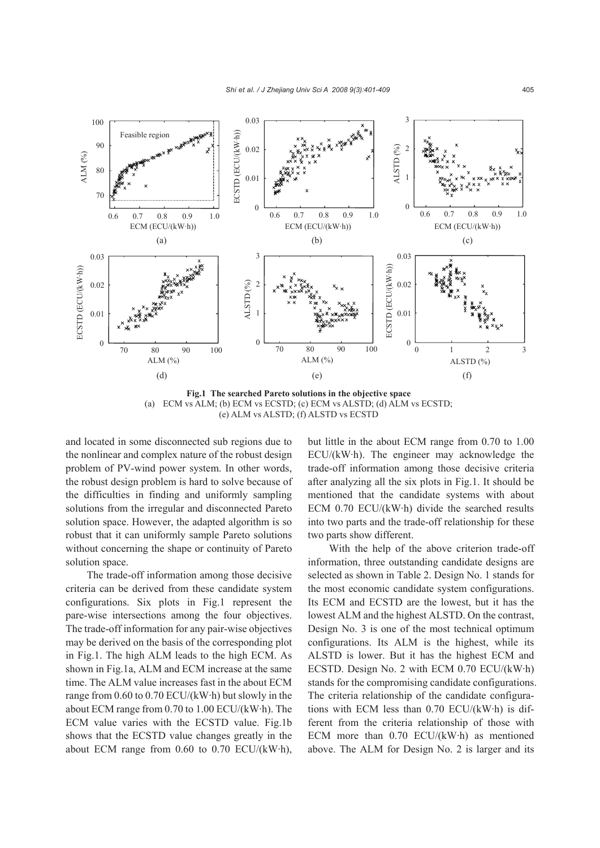

(a) ECM vs ALM; (b) ECM vs ECSTD; (c) ECM vs ALSTD; (d) ALM vs ECSTD; (e) ALM vs ALSTD; (f) ALSTD vs ECSTD

and located in some disconnected sub regions due to the nonlinear and complex nature of the robust design problem of PV-wind power system. In other words, the robust design problem is hard to solve because of the difficulties in finding and uniformly sampling solutions from the irregular and disconnected Pareto solution space. However, the adapted algorithm is so robust that it can uniformly sample Pareto solutions without concerning the shape or continuity of Pareto solution space.

The trade-off information among those decisive criteria can be derived from these candidate system configurations. Six plots in Fig.1 represent the pare-wise intersections among the four objectives. The trade-off information for any pair-wise objectives may be derived on the basis of the corresponding plot in Fig.1. The high ALM leads to the high ECM. As shown in Fig.1a, ALM and ECM increase at the same time. The ALM value increases fast in the about ECM range from 0.60 to 0.70 ECU/(kW·h) but slowly in the about ECM range from 0.70 to 1.00 ECU/(kW·h). The ECM value varies with the ECSTD value. Fig.1b shows that the ECSTD value changes greatly in the about ECM range from  $0.60$  to  $0.70$  ECU/(kW·h),

but little in the about ECM range from 0.70 to 1.00 ECU/(kW·h). The engineer may acknowledge the trade-off information among those decisive criteria after analyzing all the six plots in Fig.1. It should be mentioned that the candidate systems with about ECM 0.70 ECU/(kW·h) divide the searched results into two parts and the trade-off relationship for these two parts show different.

With the help of the above criterion trade-off information, three outstanding candidate designs are selected as shown in Table 2. Design No. 1 stands for the most economic candidate system configurations. Its ECM and ECSTD are the lowest, but it has the lowest ALM and the highest ALSTD. On the contrast, Design No. 3 is one of the most technical optimum configurations. Its ALM is the highest, while its ALSTD is lower. But it has the highest ECM and ECSTD. Design No. 2 with ECM 0.70 ECU/(kW·h) stands for the compromising candidate configurations. The criteria relationship of the candidate configurations with ECM less than 0.70 ECU/(kW·h) is different from the criteria relationship of those with ECM more than 0.70 ECU/(kW·h) as mentioned above. The ALM for Design No. 2 is larger and its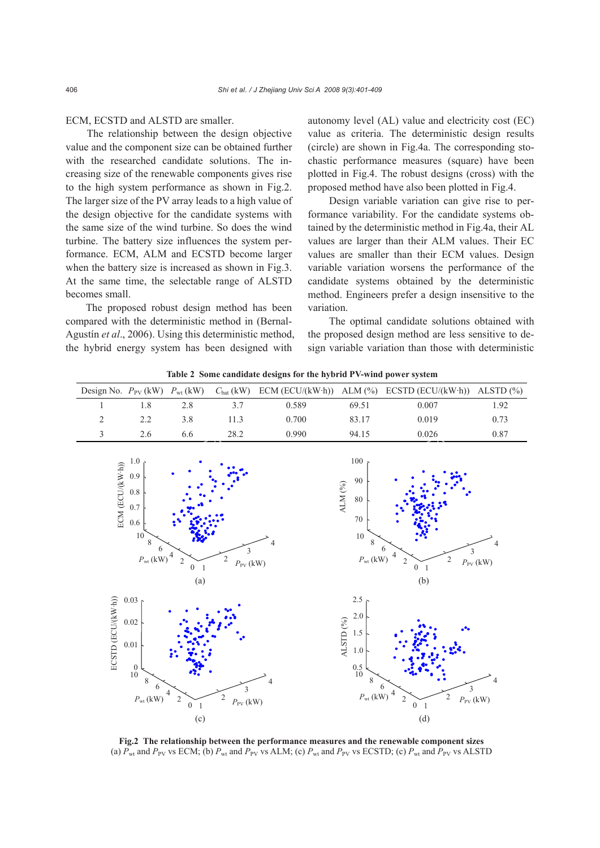ECM, ECSTD and ALSTD are smaller.

The relationship between the design objective value and the component size can be obtained further with the researched candidate solutions. The increasing size of the renewable components gives rise to the high system performance as shown in Fig.2. The larger size of the PV array leads to a high value of the design objective for the candidate systems with the same size of the wind turbine. So does the wind turbine. The battery size influences the system performance. ECM, ALM and ECSTD become larger when the battery size is increased as shown in Fig.3. At the same time, the selectable range of ALSTD becomes small.

The proposed robust design method has been compared with the deterministic method in (Bernal-Agustín *et al*., 2006). Using this deterministic method, the hybrid energy system has been designed with

autonomy level (AL) value and electricity cost (EC) value as criteria. The deterministic design results (circle) are shown in Fig.4a. The corresponding stochastic performance measures (square) have been plotted in Fig.4. The robust designs (cross) with the proposed method have also been plotted in Fig.4.

Design variable variation can give rise to performance variability. For the candidate systems obtained by the deterministic method in Fig.4a, their AL values are larger than their ALM values. Their EC values are smaller than their ECM values. Design variable variation worsens the performance of the candidate systems obtained by the deterministic method. Engineers prefer a design insensitive to the variation.

The optimal candidate solutions obtained with the proposed design method are less sensitive to design variable variation than those with deterministic

| Design No. $P_{\text{PV}}$ (kW) $P_{\text{wt}}$ (kW) |                                                                                                                                           |                                                                                  |                                          |                |                                                                                                                            | $C_{bat}$ (kW) ECM (ECU/(kW·h)) ALM (%) ECSTD (ECU/(kW·h)) ALSTD (%)                                     |                                          |
|------------------------------------------------------|-------------------------------------------------------------------------------------------------------------------------------------------|----------------------------------------------------------------------------------|------------------------------------------|----------------|----------------------------------------------------------------------------------------------------------------------------|----------------------------------------------------------------------------------------------------------|------------------------------------------|
| $\mathbf{1}$                                         | $1.8\,$                                                                                                                                   | $2.8\,$                                                                          | 3.7                                      | 0.589          | 69.51                                                                                                                      | $0.007\,$                                                                                                | 1.92                                     |
| $\sqrt{2}$                                           | 2.2                                                                                                                                       | $3.8\,$                                                                          | $11.3\,$                                 | 0.700          | 83.17                                                                                                                      | 0.019                                                                                                    | 0.73                                     |
| $\mathfrak{Z}$                                       | $2.6\,$                                                                                                                                   | 6.6                                                                              | 28.2                                     | 0.990          | 94.15                                                                                                                      | $0.026\,$                                                                                                | $0.87\,$                                 |
| ECM (ECU/(kW·h))                                     | 1.0<br>0.9<br>$0.8\,$<br>0.7<br>$0.6\,$<br>10 <sup>7</sup><br>$\,8\,$<br>6<br>$P_{\rm wt}$ (kW)                                           | $\overline{4}$<br>$\sqrt{2}$<br>$\boldsymbol{0}$<br>$\mathbf{1}$                 | 3<br>2<br>$P_{\rm PV}\,({\rm kW})$       | $\overline{4}$ | $100\,$<br>90<br>ALM $(%)$<br>80<br>70<br>$10\,$<br>$\,8\,$<br>$P_{\rm wt}$ (kW)                                           | 6<br>$\overline{4}$<br>$\sqrt{2}$<br>$\sqrt{2}$<br>$\boldsymbol{0}$<br>$\mathbf{1}$                      | 4<br>$\mathfrak{Z}$<br>$P_{\rm PV}$ (kW) |
| ECSTD (ECU/(kW·h))                                   | 0.03<br>0.02<br>$0.01\,$<br>$\begin{smallmatrix} 0\\10 \end{smallmatrix}$<br>$\,$ 8 $\,$<br>$\sqrt{6}$<br>$P_{\rm wt}\left(\rm kW\right)$ | (a)<br>$\overline{4}$<br>$\sqrt{2}$<br>$\boldsymbol{0}$<br>$\overline{1}$<br>(c) | 3<br>$\overline{2}$<br>$P_{\rm PV}$ (kW) | 4              | $2.5\,$<br>2.0<br>ALSTD <sup>(%)</sup><br>1.5<br>1.0<br>$\begin{array}{c} 0.5 \\ 10 \end{array}$<br>8<br>$P_{\rm wt}$ (kW) | (b)<br>6<br>3<br>$\overline{4}$<br>$\mathbf{2}$<br>$\sqrt{2}$<br>$\boldsymbol{0}$<br>$\mathbf{1}$<br>(d) | 4<br>$P_{\rm PV}$ (kW)                   |

**Table 2 Some candidate designs for the hybrid PV-wind power system**

**Fig.2 The relationship between the performance measures and the renewable component sizes**  (a)  $P_{\text{wt}}$  and  $P_{\text{PV}}$  vs ECM; (b)  $P_{\text{wt}}$  and  $P_{\text{PV}}$  vs ALM; (c)  $P_{\text{wt}}$  and  $P_{\text{PV}}$  vs  $\text{ESTD}$ ; (c)  $P_{\text{wt}}$  and  $P_{\text{PV}}$  vs ALSTD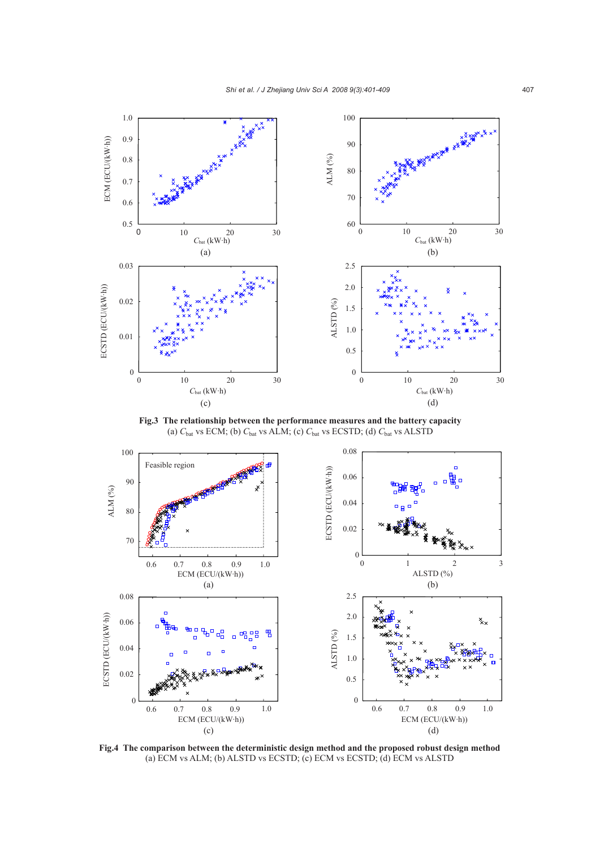

**Fig.3 The relationship between the performance measures and the battery capacity**  (a)  $C_{bat}$  vs ECM; (b)  $C_{bat}$  vs ALM; (c)  $C_{bat}$  vs ECSTD; (d)  $C_{bat}$  vs ALSTD



**Fig.4 The comparison between the deterministic design method and the proposed robust design method**  (a) ECM vs ALM; (b) ALSTD vs ECSTD; (c) ECM vs ECSTD; (d) ECM vs ALSTD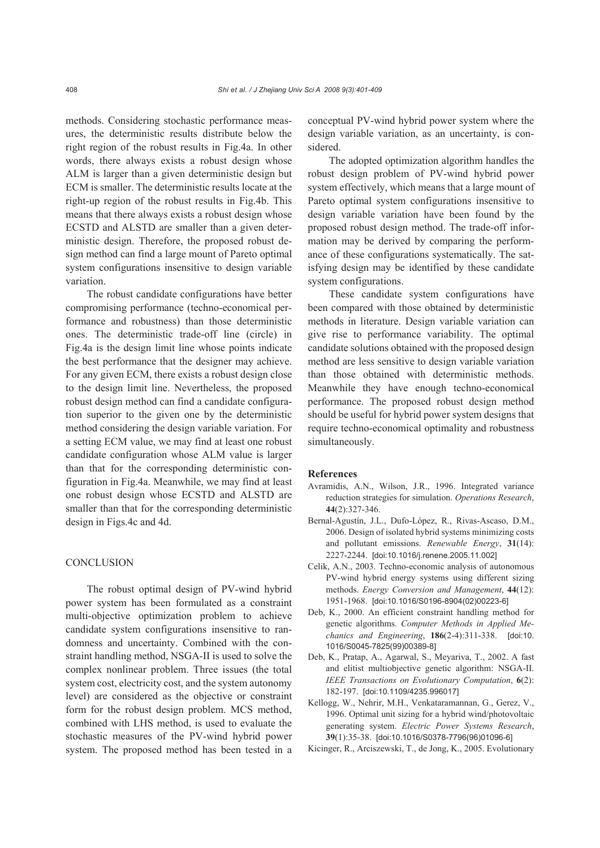methods. Considering stochastic performance measures, the deterministic results distribute below the right region of the robust results in Fig.4a. In other words, there always exists a robust design whose ALM is larger than a given deterministic design but ECM is smaller. The deterministic results locate at the right-up region of the robust results in Fig.4b. This means that there always exists a robust design whose ECSTD and ALSTD are smaller than a given deterministic design. Therefore, the proposed robust design method can find a large mount of Pareto optimal system configurations insensitive to design variable variation.

The robust candidate configurations have better compromising performance (techno-economical performance and robustness) than those deterministic ones. The deterministic trade-off line (circle) in Fig.4a is the design limit line whose points indicate the best performance that the designer may achieve. For any given ECM, there exists a robust design close to the design limit line. Nevertheless, the proposed robust design method can find a candidate configuration superior to the given one by the deterministic method considering the design variable variation. For a setting ECM value, we may find at least one robust candidate configuration whose ALM value is larger than that for the corresponding deterministic configuration in Fig.4a. Meanwhile, we may find at least one robust design whose ECSTD and ALSTD are smaller than that for the corresponding deterministic design in Figs.4c and 4d.

#### **CONCLUSION**

The robust optimal design of PV-wind hybrid power system has been formulated as a constraint multi-objective optimization problem to achieve candidate system configurations insensitive to randomness and uncertainty. Combined with the constraint handling method, NSGA-II is used to solve the complex nonlinear problem. Three issues (the total system cost, electricity cost, and the system autonomy level) are considered as the objective or constraint form for the robust design problem. MCS method, combined with LHS method, is used to evaluate the stochastic measures of the PV-wind hybrid power system. The proposed method has been tested in a conceptual PV-wind hybrid power system where the design variable variation, as an uncertainty, is considered.

The adopted optimization algorithm handles the robust design problem of PV-wind hybrid power system effectively, which means that a large mount of Pareto optimal system configurations insensitive to design variable variation have been found by the proposed robust design method. The trade-off information may be derived by comparing the performance of these configurations systematically. The satisfying design may be identified by these candidate system configurations.

These candidate system configurations have been compared with those obtained by deterministic methods in literature. Design variable variation can give rise to performance variability. The optimal candidate solutions obtained with the proposed design method are less sensitive to design variable variation than those obtained with deterministic methods. Meanwhile they have enough techno-economical performance. The proposed robust design method should be useful for hybrid power system designs that require techno-economical optimality and robustness simultaneously.

#### **References**

- Avramidis, A.N., Wilson, J.R., 1996. Integrated variance reduction strategies for simulation. *Operations Research*, **44**(2):327-346.
- Bernal-Agustín, J.L., Dufo-López, R., Rivas-Ascaso, D.M., 2006. Design of isolated hybrid systems minimizing costs and pollutant emissions. *Renewable Energy*, **31**(14): 2227-2244. [doi:10.1016/j.renene.2005.11.002]
- Celik, A.N., 2003. Techno-economic analysis of autonomous PV-wind hybrid energy systems using different sizing methods. *Energy Conversion and Management*, **44**(12): 1951-1968. [doi:10.1016/S0196-8904(02)00223-6]
- Deb, K., 2000. An efficient constraint handling method for genetic algorithms. *Computer Methods in Applied Mechanics and Engineering*, **186**(2-4):311-338. [doi:10. 1016/S0045-7825(99)00389-8]
- Deb, K., Pratap, A., Agarwal, S., Meyariva, T., 2002. A fast and elitist multiobjective genetic algorithm: NSGA-II. *IEEE Transactions on Evolutionary Computation*, **6**(2): 182-197. [doi:10.1109/4235.996017]
- Kellogg, W., Nehrir, M.H., Venkataramannan, G., Gerez, V., 1996. Optimal unit sizing for a hybrid wind/photovoltaic generating system. *Electric Power Systems Research*, **39**(1):35-38. [doi:10.1016/S0378-7796(96)01096-6]
- Kicinger, R., Arciszewski, T., de Jong, K., 2005. Evolutionary